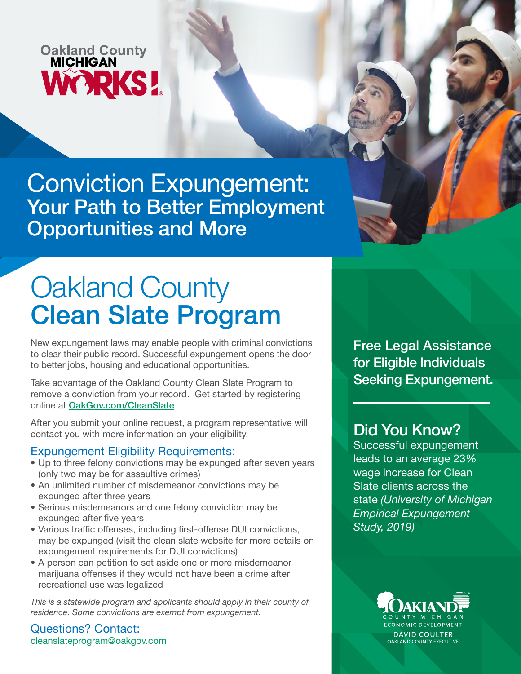## **Oakland County<br>MICHIGAN WORKS!**

Conviction Expungement: Your Path to Better Employment Opportunities and More

# Oakland County Clean Slate Program

New expungement laws may enable people with criminal convictions to clear their public record. Successful expungement opens the door to better jobs, housing and educational opportunities.

Take advantage of the Oakland County Clean Slate Program to remove a conviction from your record. Get started by registering online at [OakGov.com/CleanSlate](https://www.oakgov.com/workforce/Pages/Clean-Slate.aspx)

After you submit your online request, a program representative will contact you with more information on your eligibility.

#### Expungement Eligibility Requirements:

- Up to three felony convictions may be expunged after seven years (only two may be for assaultive crimes)
- An unlimited number of misdemeanor convictions may be expunged after three years
- Serious misdemeanors and one felony conviction may be expunged after five years
- Various traffic offenses, including first-offense DUI convictions, may be expunged (visit the clean slate website for more details on expungement requirements for DUI convictions)
- A person can petition to set aside one or more misdemeanor marijuana offenses if they would not have been a crime after recreational use was legalized

This is a statewide program and applicants should apply in their county of *residence. Some convictions are exempt from expungement.*

#### Questions? Contact: cleanslateprogram@oakgov.com

Free Legal Assistance for Eligible Individuals Seeking Expungement.

### Did You Know?

Successful expungement leads to an average 23% wage increase for Clean Slate clients across the state *(University of Michigan Empirical Expungement Study, 2019)*